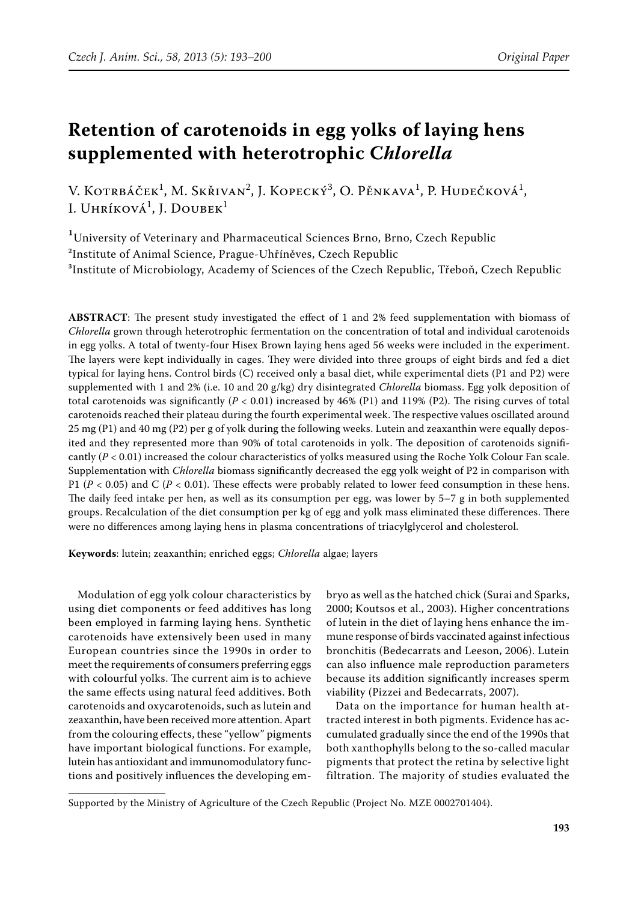# **Retention of carotenoids in egg yolks of laying hens supplemented with heterotrophic C***hlorella*

V. Kotrbáček<sup>1</sup>, M. Skřivan<sup>2</sup>, J. Kopecký<sup>3</sup>, O. Pěnkava<sup>1</sup>, P. Hudečková<sup>1</sup>, I. Uhríková<sup>1</sup>, J. Doubek<sup>1</sup>

<sup>1</sup>University of Veterinary and Pharmaceutical Sciences Brno, Brno, Czech Republic ²Institute of Animal Science, Prague-Uhříněves, Czech Republic <sup>3</sup>Institute of Microbiology, Academy of Sciences of the Czech Republic, Třeboň, Czech Republic

**ABSTRACT**: The present study investigated the effect of 1 and 2% feed supplementation with biomass of *Chlorella* grown through heterotrophic fermentation on the concentration of total and individual carotenoids in egg yolks. A total of twenty-four Hisex Brown laying hens aged 56 weeks were included in the experiment. The layers were kept individually in cages. They were divided into three groups of eight birds and fed a diet typical for laying hens. Control birds (C) received only a basal diet, while experimental diets (P1 and P2) were supplemented with 1 and 2% (i.e. 10 and 20 g/kg) dry disintegrated *Chlorella* biomass. Egg yolk deposition of total carotenoids was significantly  $(P < 0.01)$  increased by 46% (P1) and 119% (P2). The rising curves of total carotenoids reached their plateau during the fourth experimental week. The respective values oscillated around 25 mg (P1) and 40 mg (P2) per g of yolk during the following weeks. Lutein and zeaxanthin were equally deposited and they represented more than 90% of total carotenoids in yolk. The deposition of carotenoids significantly (*P* < 0.01) increased the colour characteristics of yolks measured using the Roche Yolk Colour Fan scale. Supplementation with *Chlorella* biomass significantly decreased the egg yolk weight of P2 in comparison with P1 ( $P < 0.05$ ) and C ( $P < 0.01$ ). These effects were probably related to lower feed consumption in these hens. The daily feed intake per hen, as well as its consumption per egg, was lower by 5–7 g in both supplemented groups. Recalculation of the diet consumption per kg of egg and yolk mass eliminated these differences. There were no differences among laying hens in plasma concentrations of triacylglycerol and cholesterol.

**Keywords**: lutein; zeaxanthin; enriched eggs; *Chlorella* algae; layers

Modulation of egg yolk colour characteristics by using diet components or feed additives has long been employed in farming laying hens. Synthetic carotenoids have extensively been used in many European countries since the 1990s in order to meet the requirements of consumers preferring eggs with colourful yolks. The current aim is to achieve the same effects using natural feed additives. Both carotenoids and oxycarotenoids, such as lutein and zeaxanthin, have been received more attention. Apart from the colouring effects, these "yellow" pigments have important biological functions. For example, lutein has antioxidant and immunomodulatory functions and positively influences the developing em-

bryo as well as the hatched chick (Surai and Sparks, 2000; Koutsos et al., 2003). Higher concentrations of lutein in the diet of laying hens enhance the immune response of birds vaccinated against infectious bronchitis (Bedecarrats and Leeson, 2006). Lutein can also influence male reproduction parameters because its addition significantly increases sperm viability (Pizzei and Bedecarrats, 2007).

Data on the importance for human health attracted interest in both pigments. Evidence has accumulated gradually since the end of the 1990s that both xanthophylls belong to the so-called macular pigments that protect the retina by selective light filtration. The majority of studies evaluated the

Supported by the Ministry of Agriculture of the Czech Republic (Project No. MZE 0002701404).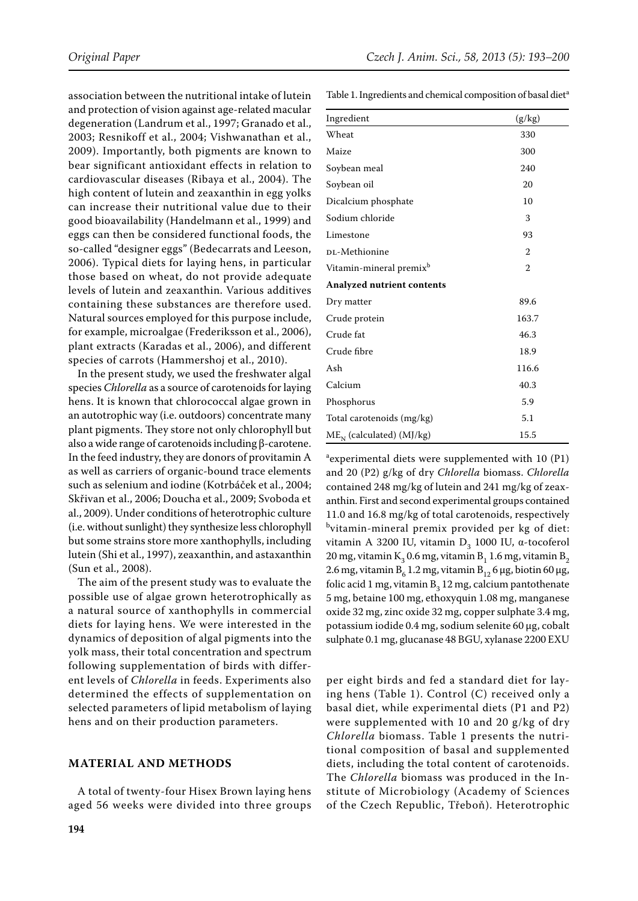association between the nutritional intake of lutein and protection of vision against age-related macular degeneration (Landrum et al., 1997; Granado et al., 2003; Resnikoff et al., 2004; Vishwanathan et al., 2009). Importantly, both pigments are known to bear significant antioxidant effects in relation to cardiovascular diseases (Ribaya et al., 2004). The high content of lutein and zeaxanthin in egg yolks can increase their nutritional value due to their good bioavailability (Handelmann et al., 1999) and eggs can then be considered functional foods, the so-called "designer eggs" (Bedecarrats and Leeson, 2006). Typical diets for laying hens, in particular those based on wheat, do not provide adequate levels of lutein and zeaxanthin. Various additives containing these substances are therefore used. Natural sources employed for this purpose include, for example, microalgae (Frederiksson et al., 2006), plant extracts (Karadas et al., 2006), and different species of carrots (Hammershoj et al., 2010).

In the present study, we used the freshwater algal species *Chlorella* as a source of carotenoids for laying hens. It is known that chlorococcal algae grown in an autotrophic way (i.e. outdoors) concentrate many plant pigments. They store not only chlorophyll but also a wide range of carotenoids including β-carotene. In the feed industry, they are donors of provitamin A as well as carriers of organic-bound trace elements such as selenium and iodine (Kotrbáček et al., 2004; Skřivan et al., 2006; Doucha et al., 2009; Svoboda et al., 2009). Under conditions of heterotrophic culture (i.e. without sunlight) they synthesize less chlorophyll but some strains store more xanthophylls, including lutein (Shi et al., 1997), zeaxanthin, and astaxanthin (Sun et al., 2008).

The aim of the present study was to evaluate the possible use of algae grown heterotrophically as a natural source of xanthophylls in commercial diets for laying hens. We were interested in the dynamics of deposition of algal pigments into the yolk mass, their total concentration and spectrum following supplementation of birds with different levels of *Chlorella* in feeds. Experiments also determined the effects of supplementation on selected parameters of lipid metabolism of laying hens and on their production parameters.

## **Material and methods**

A total of twenty-four Hisex Brown laying hens aged 56 weeks were divided into three groups Table 1. Ingredients and chemical composition of basal diet<sup>a</sup>

| Ingredient                          | (g/kg)         |
|-------------------------------------|----------------|
| Wheat                               | 330            |
| Maize                               | 300            |
| Soybean meal                        | 240            |
| Soybean oil                         | 20             |
| Dicalcium phosphate                 | 10             |
| Sodium chloride                     | 3              |
| Limestone                           | 93             |
| DL-Methionine                       | $\mathfrak{D}$ |
| Vitamin-mineral premix <sup>b</sup> | $\overline{2}$ |
| <b>Analyzed nutrient contents</b>   |                |
| Dry matter                          | 89.6           |
| Crude protein                       | 163.7          |
| Crude fat                           | 46.3           |
| Crude fibre                         | 18.9           |
| Ash                                 | 116.6          |
| Calcium                             | 40.3           |
| Phosphorus                          | 5.9            |
| Total carotenoids (mg/kg)           | 5.1            |
| $ME_N$ (calculated) (MJ/kg)         | 15.5           |

a experimental diets were supplemented with 10 (P1) and 20 (P2) g/kg of dry *Chlorella* biomass. *Chlorella* contained 248 mg/kg of lutein and 241 mg/kg of zeaxanthin. First and second experimental groups contained 11.0 and 16.8 mg/kg of total carotenoids, respectively bvitamin-mineral premix provided per kg of diet: vitamin A 3200 IU, vitamin D<sub>3</sub> 1000 IU, α-tocoferol 20 mg, vitamin  $K_2$  0.6 mg, vitamin  $B_1$  1.6 mg, vitamin  $B_2$ 2.6 mg, vitamin  $B_6$  1.2 mg, vitamin  $B_{12}$  6 µg, biotin 60 µg, folic acid 1 mg, vitamin  $B_2$  12 mg, calcium pantothenate 5 mg, betaine 100 mg, ethoxyquin 1.08 mg, manganese oxide 32 mg, zinc oxide 32 mg, copper sulphate 3.4 mg, potassium iodide 0.4 mg, sodium selenite 60 µg, cobalt sulphate 0.1 mg, glucanase 48 BGU, xylanase 2200 EXU

per eight birds and fed a standard diet for laying hens (Table 1). Control (C) received only a basal diet, while experimental diets (P1 and P2) were supplemented with 10 and 20 g/kg of dry *Chlorella* biomass. Table 1 presents the nutritional composition of basal and supplemented diets, including the total content of carotenoids. The *Chlorella* biomass was produced in the Institute of Microbiology (Academy of Sciences of the Czech Republic, Třeboň). Heterotrophic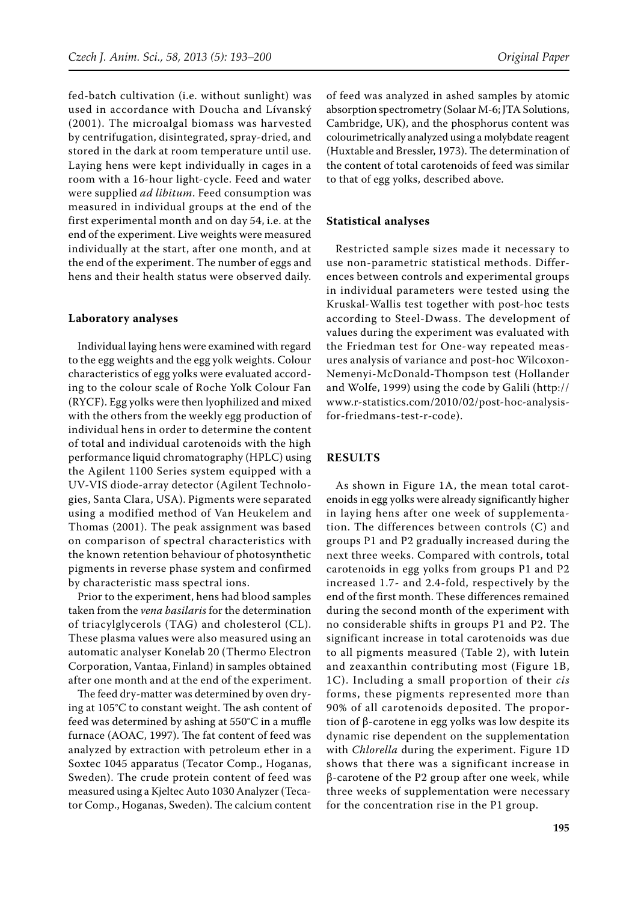fed-batch cultivation (i.e. without sunlight) was used in accordance with Doucha and Lívanský (2001). The microalgal biomass was harvested by centrifugation, disintegrated, spray-dried, and stored in the dark at room temperature until use. Laying hens were kept individually in cages in a room with a 16-hour light-cycle. Feed and water were supplied *ad libitum*. Feed consumption was measured in individual groups at the end of the first experimental month and on day 54, i.e. at the end of the experiment. Live weights were measured individually at the start, after one month, and at the end of the experiment. The number of eggs and hens and their health status were observed daily.

#### **Laboratory analyses**

Individual laying hens were examined with regard to the egg weights and the egg yolk weights. Colour characteristics of egg yolks were evaluated according to the colour scale of Roche Yolk Colour Fan (RYCF). Egg yolks were then lyophilized and mixed with the others from the weekly egg production of individual hens in order to determine the content of total and individual carotenoids with the high performance liquid chromatography (HPLC) using the Agilent 1100 Series system equipped with a UV-VIS diode-array detector (Agilent Technologies, Santa Clara, USA). Pigments were separated using a modified method of Van Heukelem and Thomas (2001). The peak assignment was based on comparison of spectral characteristics with the known retention behaviour of photosynthetic pigments in reverse phase system and confirmed by characteristic mass spectral ions.

Prior to the experiment, hens had blood samples taken from the *vena basilaris* for the determination of triacylglycerols (TAG) and cholesterol (CL). These plasma values were also measured using an automatic analyser Konelab 20 (Thermo Electron Corporation, Vantaa, Finland) in samples obtained after one month and at the end of the experiment.

The feed dry-matter was determined by oven drying at 105°C to constant weight. The ash content of feed was determined by ashing at 550°C in a muffle furnace (AOAC, 1997). The fat content of feed was analyzed by extraction with petroleum ether in a Soxtec 1045 apparatus (Tecator Comp., Hoganas, Sweden). The crude protein content of feed was measured using a Kjeltec Auto 1030 Analyzer (Tecator Comp., Hoganas, Sweden). The calcium content of feed was analyzed in ashed samples by atomic absorption spectrometry (Solaar M-6; JTA Solutions, Cambridge, UK), and the phosphorus content was colourimetrically analyzed using a molybdate reagent (Huxtable and Bressler, 1973). The determination of the content of total carotenoids of feed was similar to that of egg yolks, described above.

### **Statistical analyses**

Restricted sample sizes made it necessary to use non-parametric statistical methods. Differences between controls and experimental groups in individual parameters were tested using the Kruskal-Wallis test together with post-hoc tests according to Steel-Dwass. The development of values during the experiment was evaluated with the Friedman test for One-way repeated measures analysis of variance and post-hoc Wilcoxon-Nemenyi-McDonald-Thompson test (Hollander and Wolfe, 1999) using the code by Galili (http:// www.r-statistics.com/2010/02/post-hoc-analysisfor-friedmans-test-r-code).

## **Results**

As shown in Figure 1A, the mean total carotenoids in egg yolks were already significantly higher in laying hens after one week of supplementation. The differences between controls (C) and groups P1 and P2 gradually increased during the next three weeks. Compared with controls, total carotenoids in egg yolks from groups P1 and P2 increased 1.7- and 2.4-fold, respectively by the end of the first month. These differences remained during the second month of the experiment with no considerable shifts in groups P1 and P2. The significant increase in total carotenoids was due to all pigments measured (Table 2), with lutein and zeaxanthin contributing most (Figure 1B, 1C). Including a small proportion of their *cis* forms, these pigments represented more than 90% of all carotenoids deposited. The proportion of β-carotene in egg yolks was low despite its dynamic rise dependent on the supplementation with *Chlorella* during the experiment. Figure 1D shows that there was a significant increase in β-carotene of the P2 group after one week, while three weeks of supplementation were necessary for the concentration rise in the P1 group.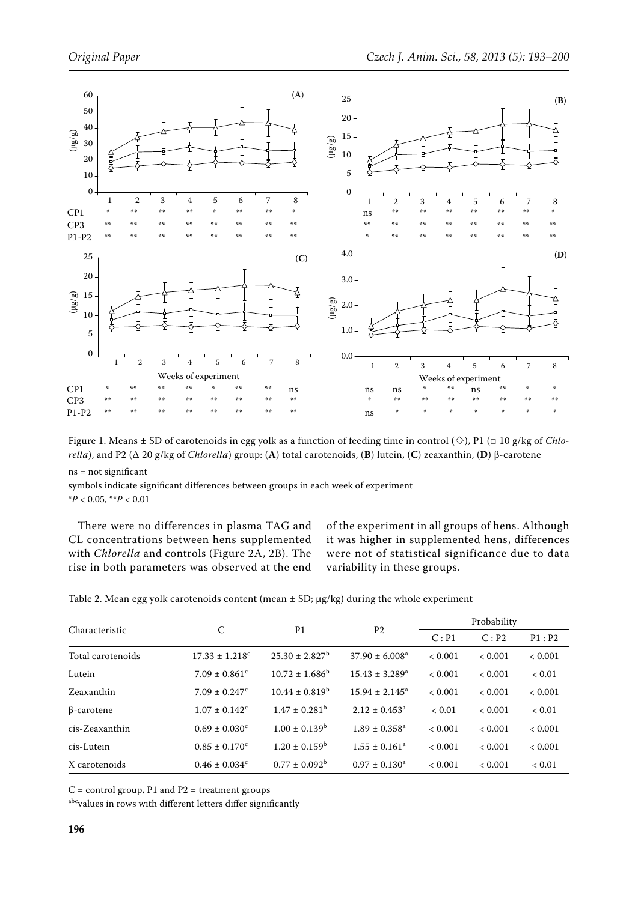

Figure 1. Means  $\pm$  SD of carotenoids in egg yolk as a function of feeding time in control ( $\diamond$ ), P1 ( $\Box$  10 g/kg of *Chlorella*), and P2 (∆ 20 g/kg of *Chlorella*) group: (**A**) total carotenoids, (**B**) lutein, (**C**) zeaxanthin, (**D**) β-carotene

ns = not significant

symbols indicate significant differences between groups in each week of experiment \**P* < 0.05, \*\**P* < 0.01

There were no differences in plasma TAG and CL concentrations between hens supplemented with *Chlorella* and controls (Figure 2A, 2B). The rise in both parameters was observed at the end of the experiment in all groups of hens. Although it was higher in supplemented hens, differences were not of statistical significance due to data variability in these groups.

| Table 2. Mean egg yolk carotenoids content (mean $\pm$ SD; $\mu$ g/kg) during the whole experiment |  |  |  |
|----------------------------------------------------------------------------------------------------|--|--|--|
|----------------------------------------------------------------------------------------------------|--|--|--|

| Characteristic    |                                | P <sub>1</sub>           |                                | Probability |         |            |
|-------------------|--------------------------------|--------------------------|--------------------------------|-------------|---------|------------|
|                   | C                              |                          | P <sub>2</sub>                 | C: P1       | C: P2   | P1: P2     |
| Total carotenoids | $17.33 \pm 1.218$ <sup>c</sup> | $25.30 \pm 2.827^b$      | $37.90 \pm 6.008^a$            | < 0.001     | < 0.001 | < 0.001    |
| Lutein            | $7.09 \pm 0.861$ <sup>c</sup>  | $10.72 \pm 1.686^b$      | $15.43 \pm 3.289$ <sup>a</sup> | < 0.001     | < 0.001 | ${}< 0.01$ |
| Zeaxanthin        | $7.09 \pm 0.247$ <sup>c</sup>  | $10.44 \pm 0.819^b$      | $15.94 \pm 2.145^a$            | < 0.001     | < 0.001 | < 0.001    |
| $\beta$ -carotene | $1.07 \pm 0.142$ <sup>c</sup>  | $1.47 + 0.281^{\rm b}$   | $2.12 \pm 0.453^a$             | < 0.01      | < 0.001 | ${}< 0.01$ |
| cis-Zeaxanthin    | $0.69 \pm 0.030^{\circ}$       | $1.00 \pm 0.139^{\rm b}$ | $1.89 + 0.358$ <sup>a</sup>    | < 0.001     | < 0.001 | < 0.001    |
| cis-Lutein        | $0.85 \pm 0.170^{\circ}$       | $1.20 \pm 0.159^{\rm b}$ | $1.55 \pm 0.161^a$             | < 0.001     | < 0.001 | < 0.001    |
| X carotenoids     | $0.46 \pm 0.034^c$             | $0.77 \pm 0.092^{\rm b}$ | $0.97 \pm 0.130^a$             | < 0.001     | < 0.001 | ${}< 0.01$ |

 $C =$  control group, P1 and P2 = treatment groups

abc<sub>values</sub> in rows with different letters differ significantly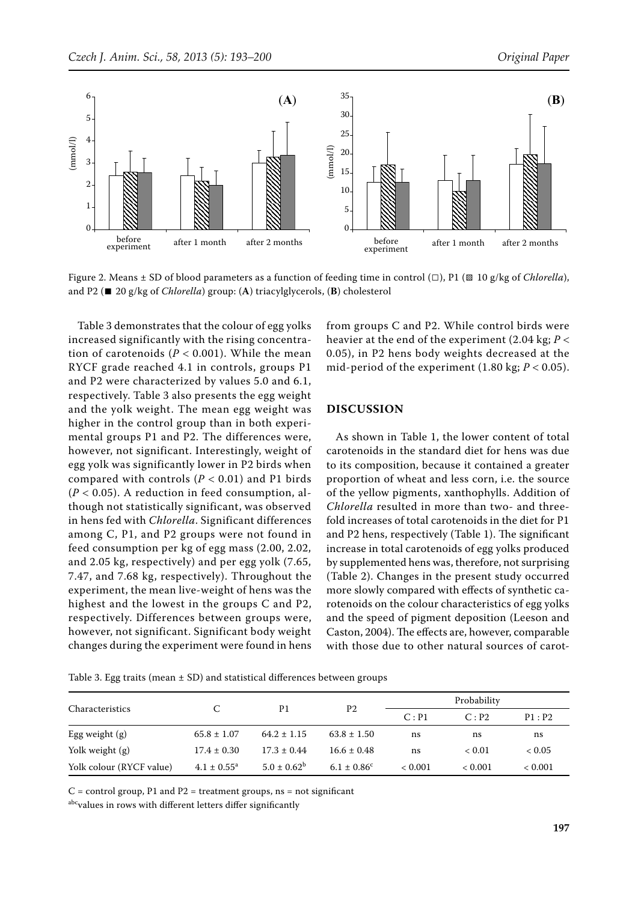

Figure 2. Means ± SD of blood parameters as a function of feeding time in control (□), P1 (▧ 10 g/kg of *Chlorella*), and P2 (∎ 20 g/kg of *Chlorella*) group: (**A**) triacylglycerols, (**B**) cholesterol

Table 3 demonstrates that the colour of egg yolks increased significantly with the rising concentration of carotenoids  $(P < 0.001)$ . While the mean RYCF grade reached 4.1 in controls, groups P1 and P2 were characterized by values 5.0 and 6.1, respectively. Table 3 also presents the egg weight and the yolk weight. The mean egg weight was higher in the control group than in both experimental groups P1 and P2. The differences were, however, not significant. Interestingly, weight of egg yolk was significantly lower in P2 birds when compared with controls  $(P < 0.01)$  and P1 birds  $(P < 0.05)$ . A reduction in feed consumption, although not statistically significant, was observed in hens fed with *Chlorella*. Significant differences among C, P1, and P2 groups were not found in feed consumption per kg of egg mass (2.00, 2.02, and 2.05 kg, respectively) and per egg yolk (7.65, 7.47, and 7.68 kg, respectively). Throughout the experiment, the mean live-weight of hens was the highest and the lowest in the groups C and P2, respectively. Differences between groups were, however, not significant. Significant body weight changes during the experiment were found in hens

from groups C and P2. While control birds were heavier at the end of the experiment (2.04 kg; *P* < 0.05), in P2 hens body weights decreased at the mid-period of the experiment (1.80 kg; *P* < 0.05).

## **Discussion**

As shown in Table 1, the lower content of total carotenoids in the standard diet for hens was due to its composition, because it contained a greater proportion of wheat and less corn, i.e. the source of the yellow pigments, xanthophylls. Addition of *Chlorella* resulted in more than two- and threefold increases of total carotenoids in the diet for P1 and P2 hens, respectively (Table 1). The significant increase in total carotenoids of egg yolks produced by supplemented hens was, therefore, not surprising (Table 2). Changes in the present study occurred more slowly compared with effects of synthetic carotenoids on the colour characteristics of egg yolks and the speed of pigment deposition (Leeson and Caston, 2004). The effects are, however, comparable with those due to other natural sources of carot-

|  |  | Table 3. Egg traits (mean $\pm$ SD) and statistical differences between groups |  |
|--|--|--------------------------------------------------------------------------------|--|
|--|--|--------------------------------------------------------------------------------|--|

| Characteristics          |                        | P1               | P <sub>2</sub>         | Probability |               |               |
|--------------------------|------------------------|------------------|------------------------|-------------|---------------|---------------|
|                          |                        |                  |                        | C: P1       | C: P2         | P1: P2        |
| Egg weight (g)           | $65.8 \pm 1.07$        | $64.2 \pm 1.15$  | $63.8 \pm 1.50$        | ns          | ns            | ns            |
| Yolk weight $(g)$        | $17.4 \pm 0.30$        | $17.3 \pm 0.44$  | $16.6 \pm 0.48$        | ns          | ${}_{< 0.01}$ | ${}_{< 0.05}$ |
| Yolk colour (RYCF value) | $4.1 \pm 0.55^{\circ}$ | $5.0 \pm 0.62^b$ | $6.1 \pm 0.86^{\circ}$ | < 0.001     | < 0.001       | < 0.001       |

 $C =$  control group, P1 and P2 = treatment groups, ns = not significant

abc<sub>values</sub> in rows with different letters differ significantly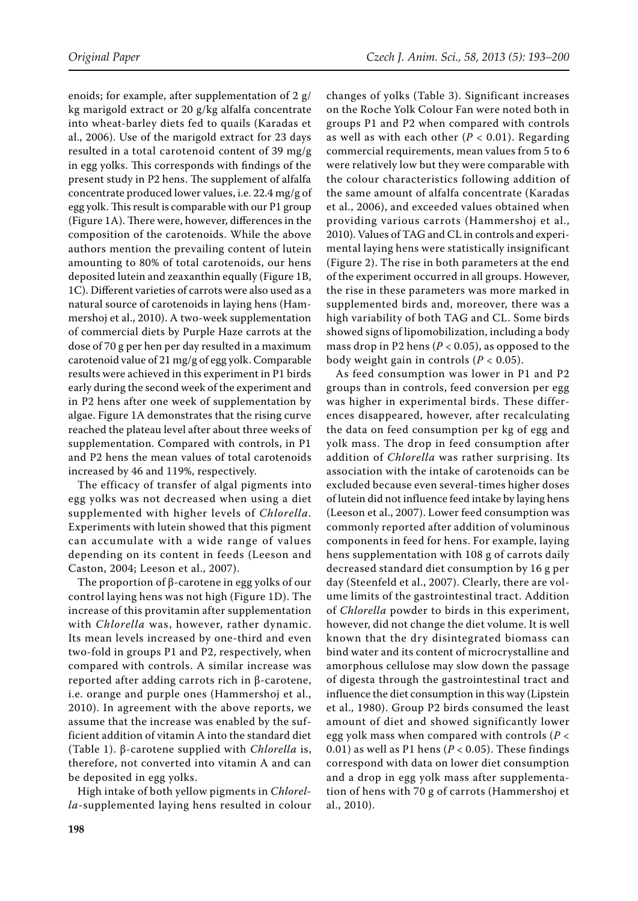enoids; for example, after supplementation of 2 g/ kg marigold extract or 20 g/kg alfalfa concentrate into wheat-barley diets fed to quails (Karadas et al., 2006). Use of the marigold extract for 23 days resulted in a total carotenoid content of 39 mg/g in egg yolks. This corresponds with findings of the present study in P2 hens. The supplement of alfalfa concentrate produced lower values, i.e. 22.4 mg/g of egg yolk. This result is comparable with our P1 group (Figure 1A). There were, however, differences in the composition of the carotenoids. While the above authors mention the prevailing content of lutein amounting to 80% of total carotenoids, our hens deposited lutein and zeaxanthin equally (Figure 1B, 1C). Different varieties of carrots were also used as a natural source of carotenoids in laying hens (Hammershoj et al., 2010). A two-week supplementation of commercial diets by Purple Haze carrots at the dose of 70 g per hen per day resulted in a maximum carotenoid value of 21 mg/g of egg yolk. Comparable results were achieved in this experiment in P1 birds early during the second week of the experiment and in P2 hens after one week of supplementation by algae. Figure 1A demonstrates that the rising curve reached the plateau level after about three weeks of supplementation. Compared with controls, in P1 and P2 hens the mean values of total carotenoids increased by 46 and 119%, respectively.

The efficacy of transfer of algal pigments into egg yolks was not decreased when using a diet supplemented with higher levels of *Chlorella*. Experiments with lutein showed that this pigment can accumulate with a wide range of values depending on its content in feeds (Leeson and Caston, 2004; Leeson et al., 2007).

The proportion of β-carotene in egg yolks of our control laying hens was not high (Figure 1D). The increase of this provitamin after supplementation with *Chlorella* was, however, rather dynamic. Its mean levels increased by one-third and even two-fold in groups P1 and P2, respectively, when compared with controls. A similar increase was reported after adding carrots rich in β-carotene, i.e. orange and purple ones (Hammershoj et al., 2010). In agreement with the above reports, we assume that the increase was enabled by the sufficient addition of vitamin A into the standard diet (Table 1). β-carotene supplied with *Chlorella* is, therefore, not converted into vitamin A and can be deposited in egg yolks.

High intake of both yellow pigments in *Chlorella*-supplemented laying hens resulted in colour

changes of yolks (Table 3). Significant increases on the Roche Yolk Colour Fan were noted both in groups P1 and P2 when compared with controls as well as with each other  $(P < 0.01)$ . Regarding commercial requirements, mean values from 5 to 6 were relatively low but they were comparable with the colour characteristics following addition of the same amount of alfalfa concentrate (Karadas et al., 2006), and exceeded values obtained when providing various carrots (Hammershoj et al., 2010). Values of TAG and CL in controls and experimental laying hens were statistically insignificant (Figure 2). The rise in both parameters at the end of the experiment occurred in all groups. However, the rise in these parameters was more marked in supplemented birds and, moreover, there was a high variability of both TAG and CL. Some birds showed signs of lipomobilization, including a body mass drop in P2 hens (*P* < 0.05), as opposed to the body weight gain in controls (*P* < 0.05).

As feed consumption was lower in P1 and P2 groups than in controls, feed conversion per egg was higher in experimental birds. These differences disappeared, however, after recalculating the data on feed consumption per kg of egg and yolk mass. The drop in feed consumption after addition of *Chlorella* was rather surprising. Its association with the intake of carotenoids can be excluded because even several-times higher doses of lutein did not influence feed intake by laying hens (Leeson et al., 2007). Lower feed consumption was commonly reported after addition of voluminous components in feed for hens. For example, laying hens supplementation with 108 g of carrots daily decreased standard diet consumption by 16 g per day (Steenfeld et al., 2007). Clearly, there are volume limits of the gastrointestinal tract. Addition of *Chlorella* powder to birds in this experiment, however, did not change the diet volume. It is well known that the dry disintegrated biomass can bind water and its content of microcrystalline and amorphous cellulose may slow down the passage of digesta through the gastrointestinal tract and influence the diet consumption in this way (Lipstein et al., 1980). Group P2 birds consumed the least amount of diet and showed significantly lower egg yolk mass when compared with controls (*P* < 0.01) as well as P1 hens ( $P < 0.05$ ). These findings correspond with data on lower diet consumption and a drop in egg yolk mass after supplementation of hens with 70 g of carrots (Hammershoj et al., 2010).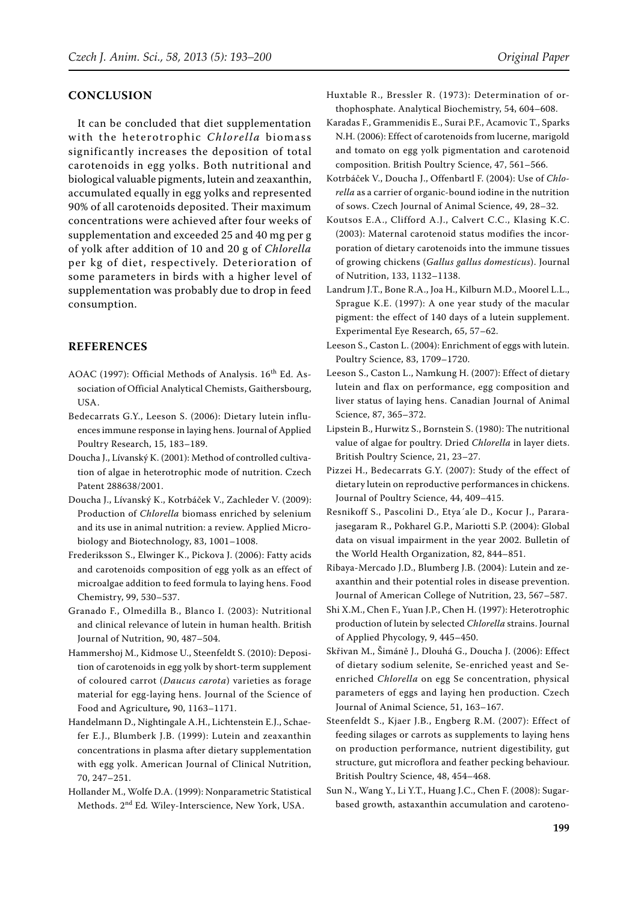# **Conclusion**

It can be concluded that diet supplementation with the heterotrophic *Chlorella* biomass significantly increases the deposition of total carotenoids in egg yolks. Both nutritional and biological valuable pigments, lutein and zeaxanthin, accumulated equally in egg yolks and represented 90% of all carotenoids deposited. Their maximum concentrations were achieved after four weeks of supplementation and exceeded 25 and 40 mg per g of yolk after addition of 10 and 20 g of *Chlorella* per kg of diet, respectively. Deterioration of some parameters in birds with a higher level of supplementation was probably due to drop in feed consumption.

# **References**

- AOAC (1997): Official Methods of Analysis. 16<sup>th</sup> Ed. Association of Official Analytical Chemists, Gaithersbourg, USA.
- Bedecarrats G.Y., Leeson S. (2006): Dietary lutein influences immune response in laying hens. Journal of Applied Poultry Research, 15, 183–189.
- Doucha J., Lívanský K. (2001): Method of controlled cultivation of algae in heterotrophic mode of nutrition. Czech Patent 288638/2001.
- Doucha J., Lívanský K., Kotrbáček V., Zachleder V. (2009): Production of *Chlorella* biomass enriched by selenium and its use in animal nutrition: a review. Applied Microbiology and Biotechnology, 83, 1001–1008.
- Frederiksson S., Elwinger K., Pickova J. (2006): Fatty acids and carotenoids composition of egg yolk as an effect of microalgae addition to feed formula to laying hens. Food Chemistry, 99, 530–537.
- Granado F., Olmedilla B., Blanco I. (2003): Nutritional and clinical relevance of lutein in human health. British Journal of Nutrition, 90, 487–504.
- Hammershoj M., Kidmose U., Steenfeldt S. (2010): Deposition of carotenoids in egg yolk by short-term supplement of coloured carrot (*Daucus carota*) varieties as forage material for egg-laying hens. Journal of the Science of Food and Agriculture*,* 90, 1163–1171.
- Handelmann D., Nightingale A.H., Lichtenstein E.J., Schaefer E.J., Blumberk J.B. (1999): Lutein and zeaxanthin concentrations in plasma after dietary supplementation with egg yolk. American Journal of Clinical Nutrition, 70, 247–251.
- Hollander M., Wolfe D.A. (1999): Nonparametric Statistical Methods. 2nd Ed*.* Wiley-Interscience, New York, USA.
- Huxtable R., Bressler R. (1973): Determination of orthophosphate. Analytical Biochemistry, 54, 604–608.
- Karadas F., Grammenidis E., Surai P.F., Acamovic T., Sparks N.H. (2006): Effect of carotenoids from lucerne, marigold and tomato on egg yolk pigmentation and carotenoid composition. British Poultry Science, 47, 561–566.
- Kotrbáček V., Doucha J., Offenbartl F. (2004): Use of *Chlorella* as a carrier of organic-bound iodine in the nutrition of sows. Czech Journal of Animal Science, 49, 28–32.
- Koutsos E.A., Clifford A.J., Calvert C.C., Klasing K.C. (2003): Maternal carotenoid status modifies the incorporation of dietary carotenoids into the immune tissues of growing chickens (*Gallus gallus domesticus*). Journal of Nutrition, 133, 1132–1138.
- Landrum J.T., Bone R.A., Joa H., Kilburn M.D., Moorel L.L., Sprague K.E. (1997): A one year study of the macular pigment: the effect of 140 days of a lutein supplement. Experimental Eye Research, 65, 57–62.
- Leeson S., Caston L. (2004): Enrichment of eggs with lutein. Poultry Science, 83, 1709–1720.
- Leeson S., Caston L., Namkung H. (2007): Effect of dietary lutein and flax on performance, egg composition and liver status of laying hens. Canadian Journal of Animal Science, 87, 365–372.
- Lipstein B., Hurwitz S., Bornstein S. (1980): The nutritional value of algae for poultry. Dried *Chlorella* in layer diets. British Poultry Science, 21, 23–27.
- Pizzei H., Bedecarrats G.Y. (2007): Study of the effect of dietary lutein on reproductive performances in chickens. Journal of Poultry Science, 44, 409–415.
- Resnikoff S., Pascolini D., Etya´ale D., Kocur J., Pararajasegaram R., Pokharel G.P., Mariotti S.P. (2004): Global data on visual impairment in the year 2002. Bulletin of the World Health Organization, 82, 844–851.
- Ribaya-Mercado J.D., Blumberg J.B. (2004): Lutein and zeaxanthin and their potential roles in disease prevention. Journal of American College of Nutrition, 23, 567–587.
- Shi X.M., Chen F., Yuan J.P., Chen H. (1997): Heterotrophic production of lutein by selected *Chlorella* strains. Journal of Applied Phycology, 9, 445–450.
- Skřivan M., Šimáně J., Dlouhá G., Doucha J. (2006): Effect of dietary sodium selenite, Se-enriched yeast and Seenriched *Chlorella* on egg Se concentration, physical parameters of eggs and laying hen production. Czech Journal of Animal Science, 51, 163–167.
- Steenfeldt S., Kjaer J.B., Engberg R.M. (2007): Effect of feeding silages or carrots as supplements to laying hens on production performance, nutrient digestibility, gut structure, gut microflora and feather pecking behaviour. British Poultry Science, 48, 454–468.
- Sun N., Wang Y., Li Y.T., Huang J.C., Chen F. (2008): Sugarbased growth, astaxanthin accumulation and caroteno-